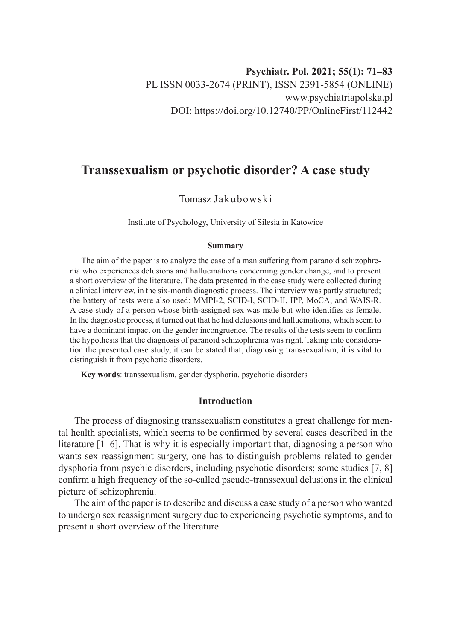# **Transsexualism or psychotic disorder? A case study**

# Tomasz Jakubowski

Institute of Psychology, University of Silesia in Katowice

#### **Summary**

The aim of the paper is to analyze the case of a man suffering from paranoid schizophrenia who experiences delusions and hallucinations concerning gender change, and to present a short overview of the literature. The data presented in the case study were collected during a clinical interview, in the six-month diagnostic process. The interview was partly structured; the battery of tests were also used: MMPI-2, SCID-I, SCID-II, IPP, MoCA, and WAIS-R. A case study of a person whose birth-assigned sex was male but who identifies as female. In the diagnostic process, it turned out that he had delusions and hallucinations, which seem to have a dominant impact on the gender incongruence. The results of the tests seem to confirm the hypothesis that the diagnosis of paranoid schizophrenia was right. Taking into consideration the presented case study, it can be stated that, diagnosing transsexualism, it is vital to distinguish it from psychotic disorders.

**Key words**: transsexualism, gender dysphoria, psychotic disorders

## **Introduction**

The process of diagnosing transsexualism constitutes a great challenge for mental health specialists, which seems to be confirmed by several cases described in the literature [1–6]. That is why it is especially important that, diagnosing a person who wants sex reassignment surgery, one has to distinguish problems related to gender dysphoria from psychic disorders, including psychotic disorders; some studies [7, 8] confirm a high frequency of the so-called pseudo-transsexual delusions in the clinical picture of schizophrenia.

The aim of the paper is to describe and discuss a case study of a person who wanted to undergo sex reassignment surgery due to experiencing psychotic symptoms, and to present a short overview of the literature.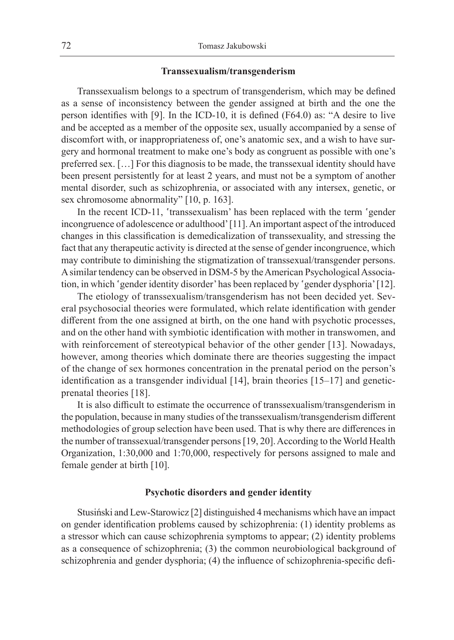## **Transsexualism/transgenderism**

Transsexualism belongs to a spectrum of transgenderism, which may be defined as a sense of inconsistency between the gender assigned at birth and the one the person identifies with [9]. In the ICD-10, it is defined (F64.0) as: "A desire to live and be accepted as a member of the opposite sex, usually accompanied by a sense of discomfort with, or inappropriateness of, one's anatomic sex, and a wish to have surgery and hormonal treatment to make one's body as congruent as possible with one's preferred sex. […] For this diagnosis to be made, the transsexual identity should have been present persistently for at least 2 years, and must not be a symptom of another mental disorder, such as schizophrenia, or associated with any intersex, genetic, or sex chromosome abnormality" [10, p. 163].

In the recent ICD-11, 'transsexualism' has been replaced with the term 'gender incongruence of adolescence or adulthood' [11]. An important aspect of the introduced changes in this classification is demedicalization of transsexuality, and stressing the fact that any therapeutic activity is directed at the sense of gender incongruence, which may contribute to diminishing the stigmatization of transsexual/transgender persons. Asimilar tendency can be observed in DSM-5 by the American Psychological Association, in which 'gender identity disorder' has been replaced by 'gender dysphoria' [12].

The etiology of transsexualism/transgenderism has not been decided yet. Several psychosocial theories were formulated, which relate identification with gender different from the one assigned at birth, on the one hand with psychotic processes, and on the other hand with symbiotic identification with mother in transwomen, and with reinforcement of stereotypical behavior of the other gender [13]. Nowadays, however, among theories which dominate there are theories suggesting the impact of the change of sex hormones concentration in the prenatal period on the person's identification as a transgender individual [14], brain theories [15–17] and geneticprenatal theories [18].

It is also difficult to estimate the occurrence of transsexualism/transgenderism in the population, because in many studies of the transsexualism/transgenderism different methodologies of group selection have been used. That is why there are differences in the number of transsexual/transgender persons [19, 20]. According to the World Health Organization, 1:30,000 and 1:70,000, respectively for persons assigned to male and female gender at birth [10].

## **Psychotic disorders and gender identity**

Stusiński and Lew-Starowicz [2] distinguished 4 mechanisms which have an impact on gender identification problems caused by schizophrenia: (1) identity problems as a stressor which can cause schizophrenia symptoms to appear; (2) identity problems as a consequence of schizophrenia; (3) the common neurobiological background of schizophrenia and gender dysphoria; (4) the influence of schizophrenia-specific defi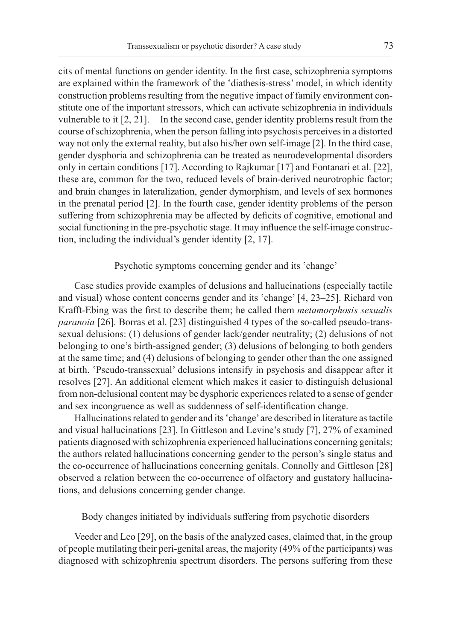cits of mental functions on gender identity. In the first case, schizophrenia symptoms are explained within the framework of the 'diathesis-stress' model, in which identity construction problems resulting from the negative impact of family environment constitute one of the important stressors, which can activate schizophrenia in individuals vulnerable to it [2, 21]. In the second case, gender identity problems result from the course of schizophrenia, when the person falling into psychosis perceives in a distorted way not only the external reality, but also his/her own self-image [2]. In the third case, gender dysphoria and schizophrenia can be treated as neurodevelopmental disorders only in certain conditions [17]. According to Rajkumar [17] and Fontanari et al. [22], these are, common for the two, reduced levels of brain-derived neurotrophic factor; and brain changes in lateralization, gender dymorphism, and levels of sex hormones in the prenatal period [2]. In the fourth case, gender identity problems of the person suffering from schizophrenia may be affected by deficits of cognitive, emotional and social functioning in the pre-psychotic stage. It may influence the self-image construction, including the individual's gender identity [2, 17].

## Psychotic symptoms concerning gender and its 'change'

Case studies provide examples of delusions and hallucinations (especially tactile and visual) whose content concerns gender and its 'change' [4, 23–25]. Richard von Krafft-Ebing was the first to describe them; he called them *metamorphosis sexualis paranoia* [26]. Borras et al. [23] distinguished 4 types of the so-called pseudo-transsexual delusions: (1) delusions of gender lack/gender neutrality; (2) delusions of not belonging to one's birth-assigned gender; (3) delusions of belonging to both genders at the same time; and (4) delusions of belonging to gender other than the one assigned at birth. 'Pseudo-transsexual' delusions intensify in psychosis and disappear after it resolves [27]. An additional element which makes it easier to distinguish delusional from non-delusional content may be dysphoric experiences related to a sense of gender and sex incongruence as well as suddenness of self-identification change.

Hallucinations related to gender and its 'change' are described in literature as tactile and visual hallucinations [23]. In Gittleson and Levine's study [7], 27% of examined patients diagnosed with schizophrenia experienced hallucinations concerning genitals; the authors related hallucinations concerning gender to the person's single status and the co-occurrence of hallucinations concerning genitals. Connolly and Gittleson [28] observed a relation between the co-occurrence of olfactory and gustatory hallucinations, and delusions concerning gender change.

Body changes initiated by individuals suffering from psychotic disorders

Veeder and Leo [29], on the basis of the analyzed cases, claimed that, in the group of people mutilating their peri-genital areas, the majority (49% of the participants) was diagnosed with schizophrenia spectrum disorders. The persons suffering from these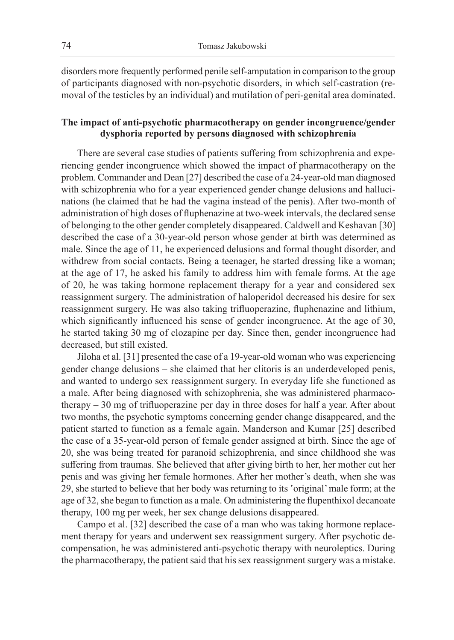disorders more frequently performed penile self-amputation in comparison to the group of participants diagnosed with non-psychotic disorders, in which self-castration (removal of the testicles by an individual) and mutilation of peri-genital area dominated.

# **The impact of anti-psychotic pharmacotherapy on gender incongruence/gender dysphoria reported by persons diagnosed with schizophrenia**

There are several case studies of patients suffering from schizophrenia and experiencing gender incongruence which showed the impact of pharmacotherapy on the problem. Commander and Dean [27] described the case of a 24-year-old man diagnosed with schizophrenia who for a year experienced gender change delusions and hallucinations (he claimed that he had the vagina instead of the penis). After two-month of administration of high doses of fluphenazine at two-week intervals, the declared sense of belonging to the other gender completely disappeared. Caldwell and Keshavan [30] described the case of a 30-year-old person whose gender at birth was determined as male. Since the age of 11, he experienced delusions and formal thought disorder, and withdrew from social contacts. Being a teenager, he started dressing like a woman; at the age of 17, he asked his family to address him with female forms. At the age of 20, he was taking hormone replacement therapy for a year and considered sex reassignment surgery. The administration of haloperidol decreased his desire for sex reassignment surgery. He was also taking trifluoperazine, fluphenazine and lithium, which significantly influenced his sense of gender incongruence. At the age of 30, he started taking 30 mg of clozapine per day. Since then, gender incongruence had decreased, but still existed.

Jiloha et al. [31] presented the case of a 19-year-old woman who was experiencing gender change delusions – she claimed that her clitoris is an underdeveloped penis, and wanted to undergo sex reassignment surgery. In everyday life she functioned as a male. After being diagnosed with schizophrenia, she was administered pharmacotherapy – 30 mg of trifluoperazine per day in three doses for half a year. After about two months, the psychotic symptoms concerning gender change disappeared, and the patient started to function as a female again. Manderson and Kumar [25] described the case of a 35-year-old person of female gender assigned at birth. Since the age of 20, she was being treated for paranoid schizophrenia, and since childhood she was suffering from traumas. She believed that after giving birth to her, her mother cut her penis and was giving her female hormones. After her mother's death, when she was 29, she started to believe that her body was returning to its 'original' male form; at the age of 32, she began to function as a male. On administering the flupenthixol decanoate therapy, 100 mg per week, her sex change delusions disappeared.

Campo et al. [32] described the case of a man who was taking hormone replacement therapy for years and underwent sex reassignment surgery. After psychotic decompensation, he was administered anti-psychotic therapy with neuroleptics. During the pharmacotherapy, the patient said that his sex reassignment surgery was a mistake.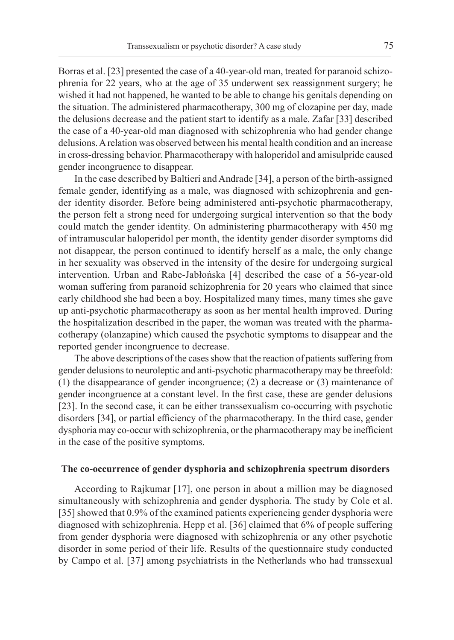Borras et al. [23] presented the case of a 40-year-old man, treated for paranoid schizophrenia for 22 years, who at the age of 35 underwent sex reassignment surgery; he wished it had not happened, he wanted to be able to change his genitals depending on the situation. The administered pharmacotherapy, 300 mg of clozapine per day, made the delusions decrease and the patient start to identify as a male. Zafar [33] described the case of a 40-year-old man diagnosed with schizophrenia who had gender change delusions. A relation was observed between his mental health condition and an increase in cross-dressing behavior. Pharmacotherapy with haloperidol and amisulpride caused gender incongruence to disappear.

In the case described by Baltieri and Andrade [34], a person of the birth-assigned female gender, identifying as a male, was diagnosed with schizophrenia and gender identity disorder. Before being administered anti-psychotic pharmacotherapy, the person felt a strong need for undergoing surgical intervention so that the body could match the gender identity. On administering pharmacotherapy with 450 mg of intramuscular haloperidol per month, the identity gender disorder symptoms did not disappear, the person continued to identify herself as a male, the only change in her sexuality was observed in the intensity of the desire for undergoing surgical intervention. Urban and Rabe-Jabłońska [4] described the case of a 56-year-old woman suffering from paranoid schizophrenia for 20 years who claimed that since early childhood she had been a boy. Hospitalized many times, many times she gave up anti-psychotic pharmacotherapy as soon as her mental health improved. During the hospitalization described in the paper, the woman was treated with the pharmacotherapy (olanzapine) which caused the psychotic symptoms to disappear and the reported gender incongruence to decrease.

The above descriptions of the cases show that the reaction of patients suffering from gender delusions to neuroleptic and anti-psychotic pharmacotherapy may be threefold: (1) the disappearance of gender incongruence; (2) a decrease or (3) maintenance of gender incongruence at a constant level. In the first case, these are gender delusions [23]. In the second case, it can be either transsexualism co-occurring with psychotic disorders [34], or partial efficiency of the pharmacotherapy. In the third case, gender dysphoria may co-occur with schizophrenia, or the pharmacotherapy may be inefficient in the case of the positive symptoms.

#### **The co-occurrence of gender dysphoria and schizophrenia spectrum disorders**

According to Rajkumar [17], one person in about a million may be diagnosed simultaneously with schizophrenia and gender dysphoria. The study by Cole et al. [35] showed that 0.9% of the examined patients experiencing gender dysphoria were diagnosed with schizophrenia. Hepp et al. [36] claimed that 6% of people suffering from gender dysphoria were diagnosed with schizophrenia or any other psychotic disorder in some period of their life. Results of the questionnaire study conducted by Campo et al. [37] among psychiatrists in the Netherlands who had transsexual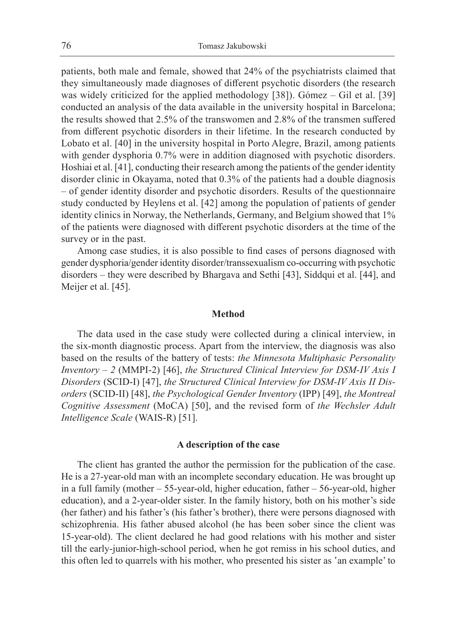patients, both male and female, showed that 24% of the psychiatrists claimed that they simultaneously made diagnoses of different psychotic disorders (the research was widely criticized for the applied methodology [38]). Gómez – Gil et al. [39] conducted an analysis of the data available in the university hospital in Barcelona; the results showed that 2.5% of the transwomen and 2.8% of the transmen suffered from different psychotic disorders in their lifetime. In the research conducted by Lobato et al. [40] in the university hospital in Porto Alegre, Brazil, among patients with gender dysphoria 0.7% were in addition diagnosed with psychotic disorders. Hoshiai et al. [41], conducting their research among the patients of the gender identity disorder clinic in Okayama, noted that 0.3% of the patients had a double diagnosis – of gender identity disorder and psychotic disorders. Results of the questionnaire study conducted by Heylens et al. [42] among the population of patients of gender identity clinics in Norway, the Netherlands, Germany, and Belgium showed that 1% of the patients were diagnosed with different psychotic disorders at the time of the survey or in the past.

Among case studies, it is also possible to find cases of persons diagnosed with gender dysphoria/gender identity disorder/transsexualism co-occurring with psychotic disorders – they were described by Bhargava and Sethi [43], Siddqui et al. [44], and Meijer et al. [45].

#### **Method**

The data used in the case study were collected during a clinical interview, in the six-month diagnostic process. Apart from the interview, the diagnosis was also based on the results of the battery of tests: *the Minnesota Multiphasic Personality Inventory – 2* (MMPI-2) [46], *the Structured Clinical Interview for DSM-IV Axis I Disorders* (SCID-I) [47], *the Structured Clinical Interview for DSM-IV Axis II Disorders* (SCID-II) [48], *the Psychological Gender Inventory* (IPP) [49], *the Montreal Cognitive Assessment* (MoCA) [50], and the revised form of *the Wechsler Adult Intelligence Scale* (WAIS-R) [51].

#### **A description of the case**

The client has granted the author the permission for the publication of the case. He is a 27-year-old man with an incomplete secondary education. He was brought up in a full family (mother – 55-year-old, higher education, father – 56-year-old, higher education), and a 2-year-older sister. In the family history, both on his mother's side (her father) and his father's (his father's brother), there were persons diagnosed with schizophrenia. His father abused alcohol (he has been sober since the client was 15-year-old). The client declared he had good relations with his mother and sister till the early-junior-high-school period, when he got remiss in his school duties, and this often led to quarrels with his mother, who presented his sister as 'an example' to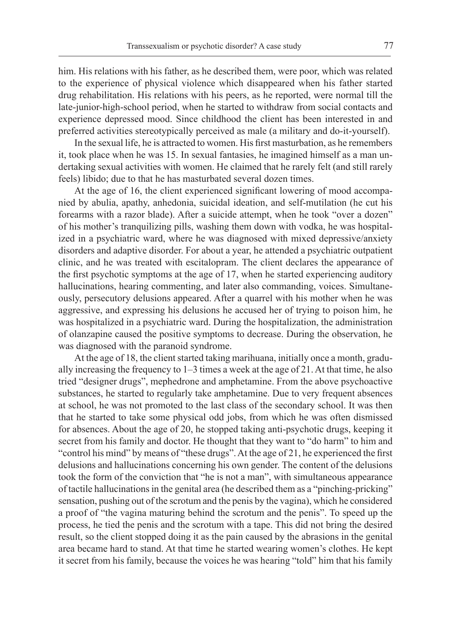him. His relations with his father, as he described them, were poor, which was related to the experience of physical violence which disappeared when his father started drug rehabilitation. His relations with his peers, as he reported, were normal till the late-junior-high-school period, when he started to withdraw from social contacts and experience depressed mood. Since childhood the client has been interested in and preferred activities stereotypically perceived as male (a military and do-it-yourself).

In the sexual life, he is attracted to women. His first masturbation, as he remembers it, took place when he was 15. In sexual fantasies, he imagined himself as a man undertaking sexual activities with women. He claimed that he rarely felt (and still rarely feels) libido; due to that he has masturbated several dozen times.

At the age of 16, the client experienced significant lowering of mood accompanied by abulia, apathy, anhedonia, suicidal ideation, and self-mutilation (he cut his forearms with a razor blade). After a suicide attempt, when he took "over a dozen" of his mother's tranquilizing pills, washing them down with vodka, he was hospitalized in a psychiatric ward, where he was diagnosed with mixed depressive/anxiety disorders and adaptive disorder. For about a year, he attended a psychiatric outpatient clinic, and he was treated with escitalopram. The client declares the appearance of the first psychotic symptoms at the age of 17, when he started experiencing auditory hallucinations, hearing commenting, and later also commanding, voices. Simultaneously, persecutory delusions appeared. After a quarrel with his mother when he was aggressive, and expressing his delusions he accused her of trying to poison him, he was hospitalized in a psychiatric ward. During the hospitalization, the administration of olanzapine caused the positive symptoms to decrease. During the observation, he was diagnosed with the paranoid syndrome.

At the age of 18, the client started taking marihuana, initially once a month, gradually increasing the frequency to  $1-3$  times a week at the age of 21. At that time, he also tried "designer drugs", mephedrone and amphetamine. From the above psychoactive substances, he started to regularly take amphetamine. Due to very frequent absences at school, he was not promoted to the last class of the secondary school. It was then that he started to take some physical odd jobs, from which he was often dismissed for absences. About the age of 20, he stopped taking anti-psychotic drugs, keeping it secret from his family and doctor. He thought that they want to "do harm" to him and "control his mind" by means of "these drugs". At the age of 21, he experienced the first delusions and hallucinations concerning his own gender. The content of the delusions took the form of the conviction that "he is not a man", with simultaneous appearance of tactile hallucinations in the genital area (he described them as a "pinching-pricking" sensation, pushing out of the scrotum and the penis by the vagina), which he considered a proof of "the vagina maturing behind the scrotum and the penis". To speed up the process, he tied the penis and the scrotum with a tape. This did not bring the desired result, so the client stopped doing it as the pain caused by the abrasions in the genital area became hard to stand. At that time he started wearing women's clothes. He kept it secret from his family, because the voices he was hearing "told" him that his family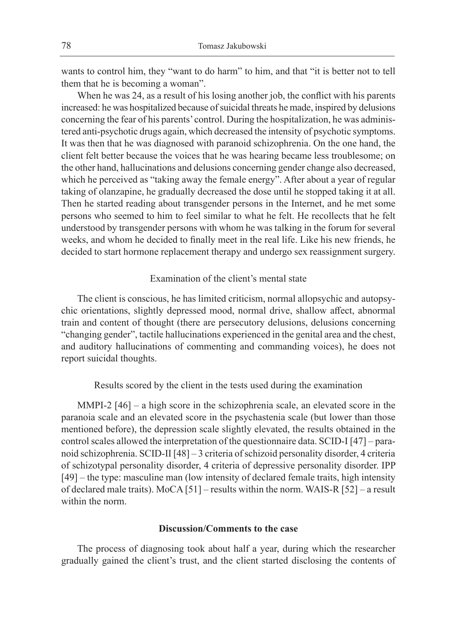wants to control him, they "want to do harm" to him, and that "it is better not to tell them that he is becoming a woman".

When he was 24, as a result of his losing another job, the conflict with his parents increased: he was hospitalized because of suicidal threats he made, inspired by delusions concerning the fear of his parents' control. During the hospitalization, he was administered anti-psychotic drugs again, which decreased the intensity of psychotic symptoms. It was then that he was diagnosed with paranoid schizophrenia. On the one hand, the client felt better because the voices that he was hearing became less troublesome; on the other hand, hallucinations and delusions concerning gender change also decreased, which he perceived as "taking away the female energy". After about a year of regular taking of olanzapine, he gradually decreased the dose until he stopped taking it at all. Then he started reading about transgender persons in the Internet, and he met some persons who seemed to him to feel similar to what he felt. He recollects that he felt understood by transgender persons with whom he was talking in the forum for several weeks, and whom he decided to finally meet in the real life. Like his new friends, he decided to start hormone replacement therapy and undergo sex reassignment surgery.

# Examination of the client's mental state

The client is conscious, he has limited criticism, normal allopsychic and autopsychic orientations, slightly depressed mood, normal drive, shallow affect, abnormal train and content of thought (there are persecutory delusions, delusions concerning "changing gender", tactile hallucinations experienced in the genital area and the chest, and auditory hallucinations of commenting and commanding voices), he does not report suicidal thoughts.

Results scored by the client in the tests used during the examination

MMPI-2  $[46]$  – a high score in the schizophrenia scale, an elevated score in the paranoia scale and an elevated score in the psychastenia scale (but lower than those mentioned before), the depression scale slightly elevated, the results obtained in the control scales allowed the interpretation of the questionnaire data. SCID-I [47] – paranoid schizophrenia. SCID-II [48] – 3 criteria of schizoid personality disorder, 4 criteria of schizotypal personality disorder, 4 criteria of depressive personality disorder. IPP [49] – the type: masculine man (low intensity of declared female traits, high intensity of declared male traits). MoCA [51] – results within the norm. WAIS-R [52] – a result within the norm.

# **Discussion/Comments to the case**

The process of diagnosing took about half a year, during which the researcher gradually gained the client's trust, and the client started disclosing the contents of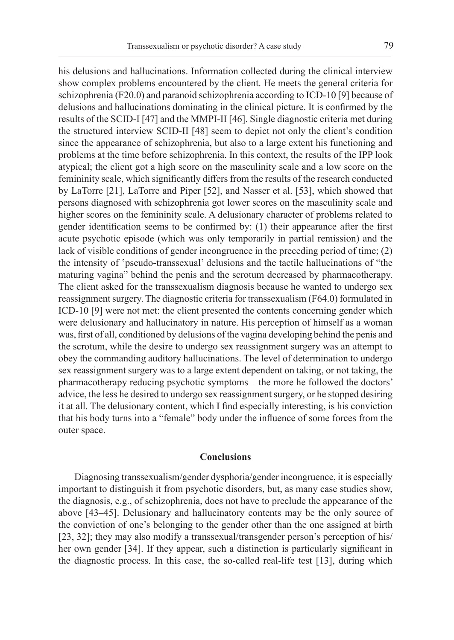his delusions and hallucinations. Information collected during the clinical interview show complex problems encountered by the client. He meets the general criteria for schizophrenia (F20.0) and paranoid schizophrenia according to ICD-10 [9] because of delusions and hallucinations dominating in the clinical picture. It is confirmed by the results of the SCID-I [47] and the MMPI-II [46]. Single diagnostic criteria met during the structured interview SCID-II [48] seem to depict not only the client's condition since the appearance of schizophrenia, but also to a large extent his functioning and problems at the time before schizophrenia. In this context, the results of the IPP look atypical; the client got a high score on the masculinity scale and a low score on the femininity scale, which significantly differs from the results of the research conducted by LaTorre [21], LaTorre and Piper [52], and Nasser et al. [53], which showed that persons diagnosed with schizophrenia got lower scores on the masculinity scale and higher scores on the femininity scale. A delusionary character of problems related to gender identification seems to be confirmed by: (1) their appearance after the first acute psychotic episode (which was only temporarily in partial remission) and the lack of visible conditions of gender incongruence in the preceding period of time; (2) the intensity of 'pseudo-transsexual' delusions and the tactile hallucinations of "the maturing vagina" behind the penis and the scrotum decreased by pharmacotherapy. The client asked for the transsexualism diagnosis because he wanted to undergo sex reassignment surgery. The diagnostic criteria for transsexualism (F64.0) formulated in ICD-10 [9] were not met: the client presented the contents concerning gender which were delusionary and hallucinatory in nature. His perception of himself as a woman was, first of all, conditioned by delusions of the vagina developing behind the penis and the scrotum, while the desire to undergo sex reassignment surgery was an attempt to obey the commanding auditory hallucinations. The level of determination to undergo sex reassignment surgery was to a large extent dependent on taking, or not taking, the pharmacotherapy reducing psychotic symptoms – the more he followed the doctors' advice, the less he desired to undergo sex reassignment surgery, or he stopped desiring it at all. The delusionary content, which I find especially interesting, is his conviction that his body turns into a "female" body under the influence of some forces from the outer space.

#### **Conclusions**

Diagnosing transsexualism/gender dysphoria/gender incongruence, it is especially important to distinguish it from psychotic disorders, but, as many case studies show, the diagnosis, e.g., of schizophrenia, does not have to preclude the appearance of the above [43–45]. Delusionary and hallucinatory contents may be the only source of the conviction of one's belonging to the gender other than the one assigned at birth [23, 32]; they may also modify a transsexual/transgender person's perception of his/ her own gender [34]. If they appear, such a distinction is particularly significant in the diagnostic process. In this case, the so-called real-life test [13], during which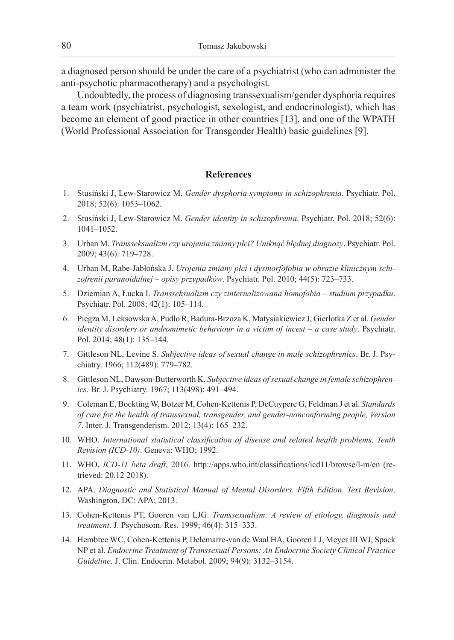a diagnosed person should be under the care of a psychiatrist (who can administer the anti-psychotic pharmacotherapy) and a psychologist.

Undoubtedly, the process of diagnosing transsexualism/gender dysphoria requires a team work (psychiatrist, psychologist, sexologist, and endocrinologist), which has become an element of good practice in other countries [13], and one of the WPATH (World Professional Association for Transgender Health) basic guidelines [9].

## **References**

- 1. Stusiński J, Lew-Starowicz M. *Gender dysphoria symptoms in schizophrenia*. Psychiatr. Pol. 2018; 52(6): 1053–1062.
- 2. Stusiński J, Lew-Starowicz M. *Gender identity in schizophrenia*. Psychiatr. Pol. 2018; 52(6): 1041–1052.
- 3. Urban M. *Transseksualizm czy urojenia zmiany płci? Uniknąć błędnej diagnozy*. Psychiatr. Pol. 2009; 43(6): 719–728.
- 4. Urban M, Rabe-Jabłońska J. *Urojenia zmiany płci i dysmorfofobia w obrazie klinicznym schizofrenii paranoidalnej – opisy przypadków*. Psychiatr. Pol. 2010; 44(5): 723–733.
- 5. Dziemian A, Łucka I. *Transseksualizm czy zinternalizowana homofobia studium przypadku*. Psychiatr. Pol. 2008; 42(1): 105–114.
- 6. Piegza M, Leksowska A, Pudlo R, Badura-Brzoza K, Matysiakiewicz J, Gierlotka Z et al. *Gender identity disorders or andromimetic behaviour in a victim of incest – a case study*. Psychiatr. Pol. 2014; 48(1): 135–144.
- 7. Gittleson NL, Levine S. *Subjective ideas of sexual change in male schizophrenics*. Br. J. Psychiatry. 1966; 112(489): 779–782.
- 8. Gittleson NL, Dawson-Butterworth K. *Subjective ideas of sexual change in female schizophrenics*. Br. J. Psychiatry. 1967; 113(498): 491–494.
- 9. Coleman E, Bockting W, Botzer M, Cohen-Kettenis P, DeCuypere G, Feldman J et al. *Standards of care for the health of transsexual, transgender, and gender-nonconforming people, Version 7*. Inter. J. Transgenderism. 2012; 13(4): 165–232.
- 10. WHO. *International statistical classification of disease and related health problems, Tenth Revision (ICD-10)*. Geneva: WHO; 1992.
- 11. WHO. *ICD-11 beta draft*, 2016. http://apps.who.int/classifications/icd11/browse/l-m/en (retrieved: 20.12 2018).
- 12. APA. *Diagnostic and Statistical Manual of Mental Disorders. Fifth Edition. Text Revision*. Washington, DC: APA; 2013.
- 13. Cohen-Kettenis PT, Gooren van LJG. *Transsexualism: A review of etiology, diagnosis and treatment*. J. Psychosom. Res. 1999; 46(4): 315–333.
- 14. Hembree WC, Cohen-Kettenis P, Delemarre-van de Waal HA, Gooren LJ, Meyer III WJ, Spack NP et al. *Endocrine Treatment of Transsexual Persons: An Endocrine Society Clinical Practice Guideline*. J. Clin. Endocrin. Metabol. 2009; 94(9): 3132–3154.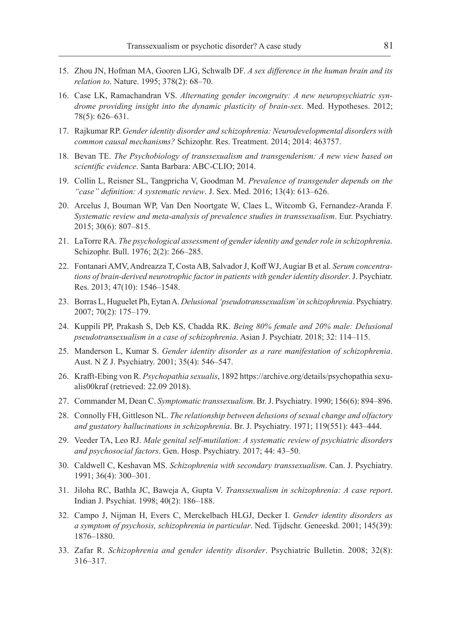- 15. Zhou JN, Hofman MA, Gooren LJG, Schwalb DF. *A sex difference in the human brain and its relation to*. Nature. 1995; 378(2): 68–70.
- 16. Case LK, Ramachandran VS. *Alternating gender incongruity: A new neuropsychiatric syndrome providing insight into the dynamic plasticity of brain-sex*. Med. Hypotheses. 2012; 78(5): 626–631.
- 17. Rajkumar RP. *Gender identity disorder and schizophrenia: Neurodevelopmental disorders with common causal mechanisms?* Schizophr. Res. Treatment. 2014; 2014: 463757.
- 18. Bevan TE. *The Psychobiology of transsexualism and transgenderism: A new view based on scientific evidence*. Santa Barbara: ABC-CLIO; 2014.
- 19. Collin L, Reisner SL, Tangpricha V, Goodman M. *Prevalence of transgender depends on the "case" definition: A systematic review*. J. Sex. Med. 2016; 13(4): 613–626.
- 20. Arcelus J, Bouman WP, Van Den Noortgate W, Claes L, Witcomb G, Fernandez-Aranda F. *Systematic review and meta-analysis of prevalence studies in transsexualism*. Eur. Psychiatry. 2015; 30(6): 807–815.
- 21. LaTorre RA. *The psychological assessment of gender identity and gender role in schizophrenia*. Schizophr. Bull. 1976; 2(2): 266–285.
- 22. Fontanari AMV, Andreazza T, Costa AB, Salvador J, Koff WJ, Augiar B et al. *Serum concentrations of brain-derived neurotrophic factor in patients with gender identity disorder*. J. Psychiatr. Res. 2013; 47(10): 1546–1548.
- 23. Borras L, Huguelet Ph, Eytan A. *Delusional 'pseudotranssexualism' in schizophrenia*. Psychiatry. 2007; 70(2): 175–179.
- 24. Kuppili PP, Prakash S, Deb KS, Chadda RK. *Being 80% female and 20% male: Delusional pseudotransexualism in a case of schizophrenia*. Asian J. Psychiatr. 2018; 32: 114–115.
- 25. Manderson L, Kumar S. *Gender identity disorder as a rare manifestation of schizophrenia*. Aust. N Z J. Psychiatry. 2001; 35(4): 546–547.
- 26. Krafft-Ebing von R. *Psychopathia sexualis*, 1892 https://archive.org/details/psychopathia sexualis00kraf (retrieved: 22.09 2018).
- 27. Commander M, Dean C. *Symptomatic transsexualism*. Br. J. Psychiatry. 1990; 156(6): 894–896.
- 28. Connolly FH, Gittleson NL. *The relationship between delusions of sexual change and olfactory and gustatory hallucinations in schizophrenia*. Br. J. Psychiatry. 1971; 119(551): 443–444.
- 29. Veeder TA, Leo RJ. *Male genital self-mutilation: A systematic review of psychiatric disorders and psychosocial factors*. Gen. Hosp. Psychiatry. 2017; 44: 43–50.
- 30. Caldwell C, Keshavan MS. *Schizophrenia with secondary transsexualism*. Can. J. Psychiatry. 1991; 36(4): 300–301.
- 31. Jiloha RC, Bathla JC, Baweja A, Gupta V. *Transsexualism in schizophrenia: A case report*. Indian J. Psychiat. 1998; 40(2): 186–188.
- 32. Campo J, Nijman H, Evers C, Merckelbach HLGJ, Decker I. *Gender identity disorders as a symptom of psychosis, schizophrenia in particular*. Ned. Tijdschr. Geneeskd. 2001; 145(39): 1876–1880.
- 33. Zafar R. *Schizophrenia and gender identity disorder*. Psychiatric Bulletin. 2008; 32(8): 316–317.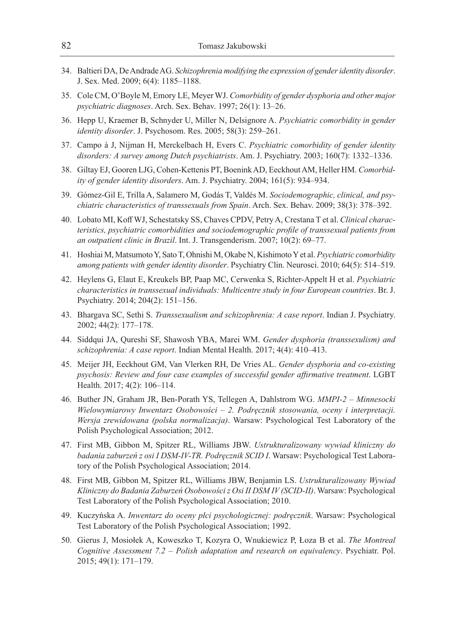- 34. Baltieri DA, De Andrade AG. *Schizophrenia modifying the expression of gender identity disorder*. J. Sex. Med. 2009; 6(4): 1185–1188.
- 35. Cole CM, O'Boyle M, Emory LE, Meyer WJ. *Comorbidity of gender dysphoria and other major psychiatric diagnoses*. Arch. Sex. Behav. 1997; 26(1): 13–26.
- 36. Hepp U, Kraemer B, Schnyder U, Miller N, Delsignore A. *Psychiatric comorbidity in gender identity disorder*. J. Psychosom. Res. 2005; 58(3): 259–261.
- 37. Campo à J, Nijman H, Merckelbach H, Evers C. *Psychiatric comorbidity of gender identity disorders: A survey among Dutch psychiatrists*. Am. J. Psychiatry. 2003; 160(7): 1332–1336.
- 38. Giltay EJ, Gooren LJG, Cohen-Kettenis PT, Boenink AD, Eeckhout AM, Heller HM. *Comorbidity of gender identity disorders*. Am. J. Psychiatry. 2004; 161(5): 934–934.
- 39. Gómez-Gil E, Trilla A, Salamero M, Godás T, Valdés M. *Sociodemographic, clinical, and psychiatric characteristics of transsexuals from Spain*. Arch. Sex. Behav. 2009; 38(3): 378–392.
- 40. Lobato MI, Koff WJ, Schestatsky SS, Chaves CPDV, Petry A, Crestana T et al. *Clinical characteristics, psychiatric comorbidities and sociodemographic profile of transsexual patients from an outpatient clinic in Brazil*. Int. J. Transgenderism. 2007; 10(2): 69–77.
- 41. Hoshiai M, Matsumoto Y, Sato T, Ohnishi M, Okabe N, Kishimoto Y et al. *Psychiatric comorbidity among patients with gender identity disorder*. Psychiatry Clin. Neurosci. 2010; 64(5): 514–519.
- 42. Heylens G, Elaut E, Kreukels BP, Paap MC, Cerwenka S, Richter-Appelt H et al. *Psychiatric characteristics in transsexual individuals: Multicentre study in four European countries*. Br. J. Psychiatry. 2014; 204(2): 151–156.
- 43. Bhargava SC, Sethi S. *Transsexualism and schizophrenia: A case report*. Indian J. Psychiatry. 2002; 44(2): 177–178.
- 44. Siddqui JA, Qureshi SF, Shawosh YBA, Marei WM. *Gender dysphoria (transsexulism) and schizophrenia: A case report*. Indian Mental Health. 2017; 4(4): 410–413.
- 45. Meijer JH, Eeckhout GM, Van Vlerken RH, De Vries AL. *Gender dysphoria and co-existing psychosis: Review and four case examples of successful gender affirmative treatment*. LGBT Health. 2017; 4(2): 106–114.
- 46. Buther JN, Graham JR, Ben-Porath YS, Tellegen A, Dahlstrom WG. *MMPI-2 Minnesocki Wielowymiarowy Inwentarz Osobowości – 2. Podręcznik stosowania, oceny i interpretacji. Wersja zrewidowana (polska normalizacja)*. Warsaw: Psychological Test Laboratory of the Polish Psychological Association; 2012.
- 47. First MB, Gibbon M, Spitzer RL, Williams JBW. *Ustrukturalizowany wywiad kliniczny do badania zaburzeń z osi I DSM-IV-TR. Podręcznik SCID I*. Warsaw: Psychological Test Laboratory of the Polish Psychological Association; 2014.
- 48. First MB, Gibbon M, Spitzer RL, Williams JBW, Benjamin LS. *Ustrukturalizowany Wywiad Kliniczny do Badania Zaburzeń Osobowości z Osi II DSM IV (SCID-II)*. Warsaw: Psychological Test Laboratory of the Polish Psychological Association; 2010.
- 49. Kuczyńska A. *Inwentarz do oceny płci psychologicznej: podręcznik*. Warsaw: Psychological Test Laboratory of the Polish Psychological Association; 1992.
- 50. Gierus J, Mosiołek A, Koweszko T, Kozyra O, Wnukiewicz P, Łoza B et al. *The Montreal Cognitive Assessment 7.2 – Polish adaptation and research on equivalency*. Psychiatr. Pol. 2015; 49(1): 171–179.